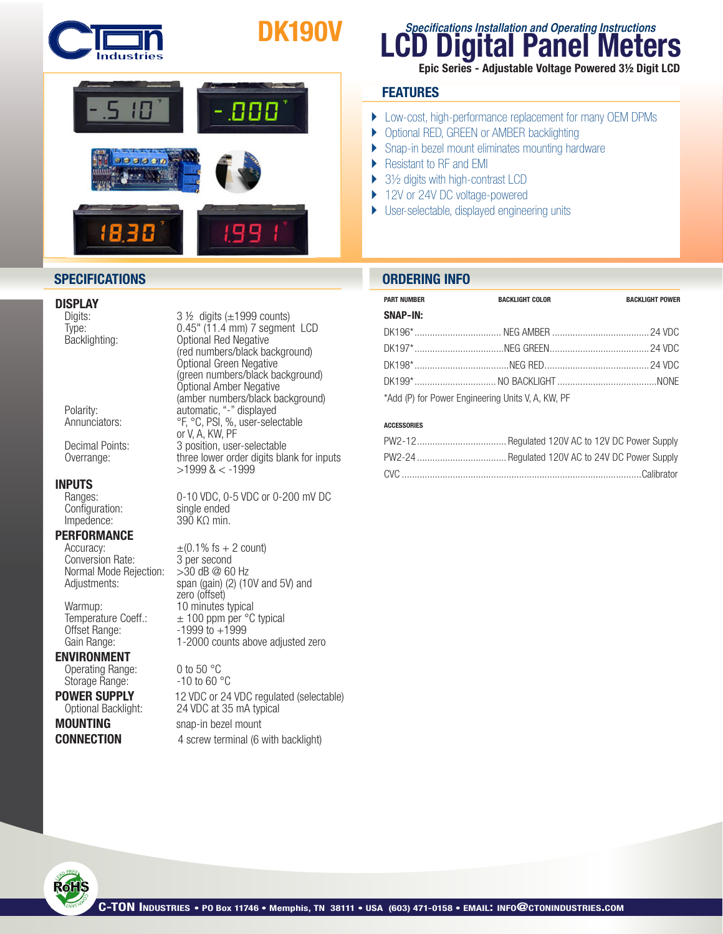

# DK190V



### **DISPLAY**<br>Digits:

#### INPUTS

Configuration:<br>Impedence:

#### **PERFORMANCE**

Conversion Rate: 3 per second<br>Normal Mode Rejection: > 30 dB @ 60 Hz Normal Mode Rejection:

Offset Range: 1999 to +1999<br>Gain Range: 1-2000 counts a

#### ENVIRONMENT

Operating Range: 0 to 50 °C<br>Storage Range: - 10 to 60 °C Storage Range:

Digits: 3 ½ digits (±1999 counts)<br>Type: 6.45" (11.4 mm) 7 segmen Type: 0.45" (11.4 mm) 7 segment LCD<br>Backlighting: 0ptional Red Negative Optional Red Negative (red numbers/black background) Optional Green Negative (green numbers/black background) Optional Amber Negative (amber numbers/black background) Polarity: automatic, "-" displayed Annunciators: <sup>org</sup>, <sup>o</sup>c, PSI, %, user-selectable or V, A, KW, PF<br>Decimal Points: 3 position, use Decimal Points: 3 position, user-selectable<br>Overrange: three lower order digits bla three lower order digits blank for inputs >1999 & < -1999

Ranges: 0-10 VDC, 0-5 VDC or 0-200 mV DC<br>
Configuration: single ended  $390$  KΩ min.

Accuracy:  $\pm (0.1\% \text{ fs} + 2 \text{ count})$ <br>Conversion Rate: 3 per second Adjustments: span (gain) (2) (10V and 5V) and zero (offset) Warmup: 10 minutes typical Temperature Coeff.:  $\pm 100$  ppm per °C typical<br>Offset Range:  $-1999$  to  $+1999$ 1-2000 counts above adjusted zero

**POWER SUPPLY** 12 VDC or 24 VDC regulated (selectable)<br>Optional Backlight: 24 VDC at 35 mA typical 24 VDC at 35 mA typical **MOUNTING** snap-in bezel mount **CONNECTION** 4 screw terminal (6 with backlight)

### **Digital Panel Meters Specifications Installation and Operating Instructions**

Epic Series - Adjustable Voltage Powered 3½ Digit LCD

### **FEATURES**

- } Low-cost, high-performance replacement for many OEM DPMs
- ▶ Optional RED, GREEN or AMBER backlighting
- ▶ Snap-in bezel mount eliminates mounting hardware
- ▶ Resistant to RF and EMI
- $\blacktriangleright$  3½ digits with high-contrast LCD
- ▶ 12V or 24V DC voltage-powered
- } User-selectable, displayed engineering units

#### **SPECIFICATIONS ORDERING INFO**

| <b>PART NUMBER</b>                                | <b>BACKLIGHT COLOR</b> | <b>BACKLIGHT POWER</b> |
|---------------------------------------------------|------------------------|------------------------|
| SNAP-IN:                                          |                        |                        |
|                                                   |                        |                        |
|                                                   |                        |                        |
|                                                   |                        |                        |
|                                                   |                        |                        |
| *Add (P) for Power Engineering Units V, A, KW, PF |                        |                        |

#### **ACCESSORIES**